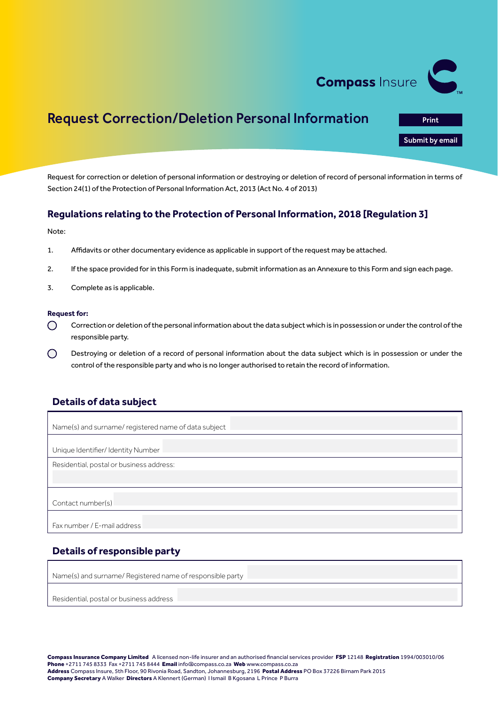

Print<br>**Submit by email**<br>Print by email

# Request Correction/Deletion Personal Information

Request for correction or deletion of personal information or destroying or deletion of record of personal information in terms of Section 24(1) of the Protection of Personal Information Act, 2013 (Act No. 4 of 2013)

### **Regulations relating to the Protection of Personal Information, 2018 [Regulation 3]**

Note:

- 1. Affidavits or other documentary evidence as applicable in support of the request may be attached.
- 2. If the space provided for in this Form is inadequate, submit information as an Annexure to this Form and sign each page.
- 3. Complete as is applicable.

#### **Request for:**

- Correction or deletion of the personal information about the data subject which is in possession or under the control of the  $\bigcirc$ responsible party.
- $\bigcap$ Destroying or deletion of a record of personal information about the data subject which is in possession or under the control of the responsible party and who is no longer authorised to retain the record of information.

### **Details of data subject**

| Name(s) and surname/registered name of data subject |  |  |  |  |
|-----------------------------------------------------|--|--|--|--|
| Unique Identifier/ Identity Number                  |  |  |  |  |
| Residential, postal or business address:            |  |  |  |  |
|                                                     |  |  |  |  |
| Contact number(s)                                   |  |  |  |  |
| Fax number / E-mail address                         |  |  |  |  |

## **Details of responsible party**

Name(s) and surname/ Registered name of responsible party

Residential, postal or business address